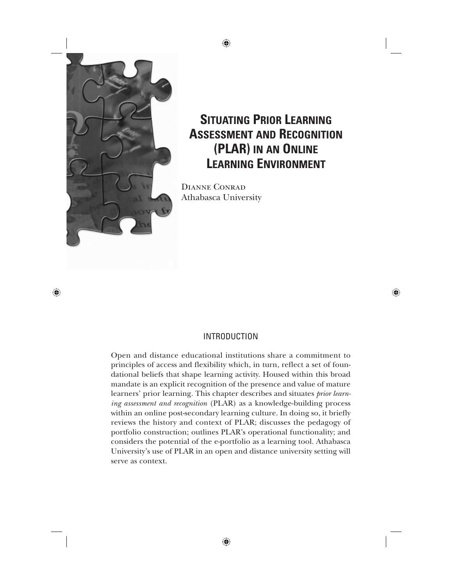

# **SITUATING PRIOR LEARNING ASSESSMENT AND RECOGNITION (PLAR) IN AN ONLINE LEARNING ENVIRONMENT**

Dianne Conrad Athabasca University

# INTRODUCTION

Open and distance educational institutions share a commitment to principles of access and flexibility which, in turn, reflect a set of foundational beliefs that shape learning activity. Housed within this broad mandate is an explicit recognition of the presence and value of mature learners' prior learning. This chapter describes and situates *prior learning assessment and recognition* (PLAR) as a knowledge-building process within an online post-secondary learning culture. In doing so, it briefly reviews the history and context of PLAR; discusses the pedagogy of portfolio construction; outlines PLAR's operational functionality; and considers the potential of the e-portfolio as a learning tool. Athabasca University's use of PLAR in an open and distance university setting will serve as context.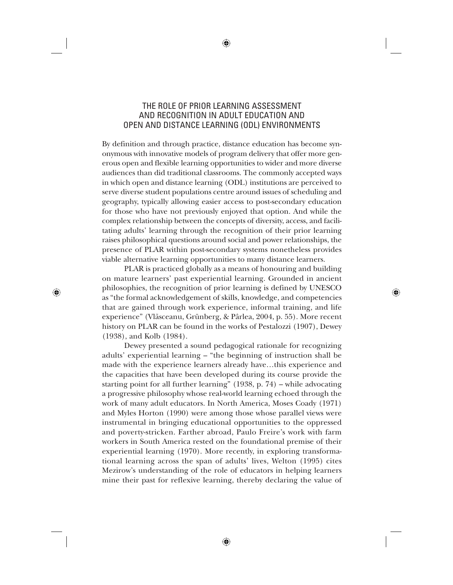# THE ROLE OF PRIOR LEARNING ASSESSMENT AND RECOGNITION IN ADULT EDUCATION AND OPEN AND DISTANCE LEARNING (ODL) ENVIRONMENTS

By definition and through practice, distance education has become synonymous with innovative models of program delivery that offer more generous open and flexible learning opportunities to wider and more diverse audiences than did traditional classrooms. The commonly accepted ways in which open and distance learning (ODL) institutions are perceived to serve diverse student populations centre around issues of scheduling and geography, typically allowing easier access to post-secondary education for those who have not previously enjoyed that option. And while the complex relationship between the concepts of diversity, access, and facilitating adults' learning through the recognition of their prior learning raises philosophical questions around social and power relationships, the presence of PLAR within post-secondary systems nonetheless provides viable alternative learning opportunities to many distance learners.

PLAR is practiced globally as a means of honouring and building on mature learners' past experiential learning. Grounded in ancient philosophies, the recognition of prior learning is defined by UNESCO as "the formal acknowledgement of skills, knowledge, and competencies that are gained through work experience, informal training, and life experience" (Vlãsceanu, Grünberg, & Pârlea, 2004, p. 55). More recent history on PLAR can be found in the works of Pestalozzi (1907), Dewey (1938), and Kolb (1984).

Dewey presented a sound pedagogical rationale for recognizing adults' experiential learning – "the beginning of instruction shall be made with the experience learners already have…this experience and the capacities that have been developed during its course provide the starting point for all further learning" (1938, p. 74) – while advocating a progressive philosophy whose real-world learning echoed through the work of many adult educators. In North America, Moses Coady (1971) and Myles Horton (1990) were among those whose parallel views were instrumental in bringing educational opportunities to the oppressed and poverty-stricken. Farther abroad, Paulo Freire's work with farm workers in South America rested on the foundational premise of their experiential learning (1970). More recently, in exploring transformational learning across the span of adults' lives, Welton (1995) cites Mezirow's understanding of the role of educators in helping learners mine their past for reflexive learning, thereby declaring the value of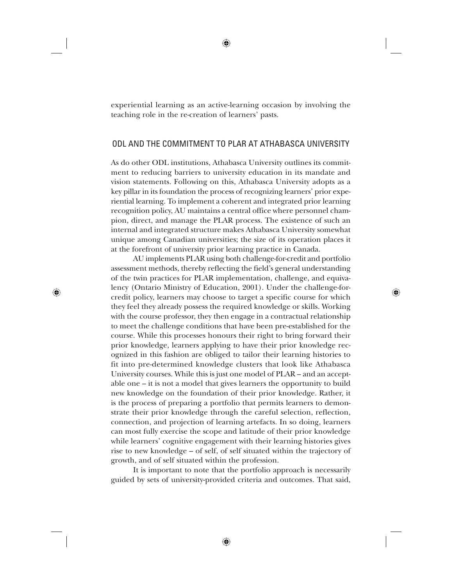experiential learning as an active-learning occasion by involving the teaching role in the re-creation of learners' pasts.

#### ODL AND THE COMMITMENT TO PLAR AT ATHABASCA UNIVERSITY

As do other ODL institutions, Athabasca University outlines its commitment to reducing barriers to university education in its mandate and vision statements. Following on this, Athabasca University adopts as a key pillar in its foundation the process of recognizing learners' prior experiential learning. To implement a coherent and integrated prior learning recognition policy, AU maintains a central office where personnel champion, direct, and manage the PLAR process. The existence of such an internal and integrated structure makes Athabasca University somewhat unique among Canadian universities; the size of its operation places it at the forefront of university prior learning practice in Canada.

AU implements PLAR using both challenge-for-credit and portfolio assessment methods, thereby reflecting the field's general understanding of the twin practices for PLAR implementation, challenge, and equivalency (Ontario Ministry of Education, 2001). Under the challenge-forcredit policy, learners may choose to target a specific course for which they feel they already possess the required knowledge or skills. Working with the course professor, they then engage in a contractual relationship to meet the challenge conditions that have been pre-established for the course. While this processes honours their right to bring forward their prior knowledge, learners applying to have their prior knowledge recognized in this fashion are obliged to tailor their learning histories to fit into pre-determined knowledge clusters that look like Athabasca University courses. While this is just one model of PLAR – and an acceptable one – it is not a model that gives learners the opportunity to build new knowledge on the foundation of their prior knowledge. Rather, it is the process of preparing a portfolio that permits learners to demonstrate their prior knowledge through the careful selection, reflection, connection, and projection of learning artefacts. In so doing, learners can most fully exercise the scope and latitude of their prior knowledge while learners' cognitive engagement with their learning histories gives rise to new knowledge – of self, of self situated within the trajectory of growth, and of self situated within the profession.

It is important to note that the portfolio approach is necessarily guided by sets of university-provided criteria and outcomes. That said,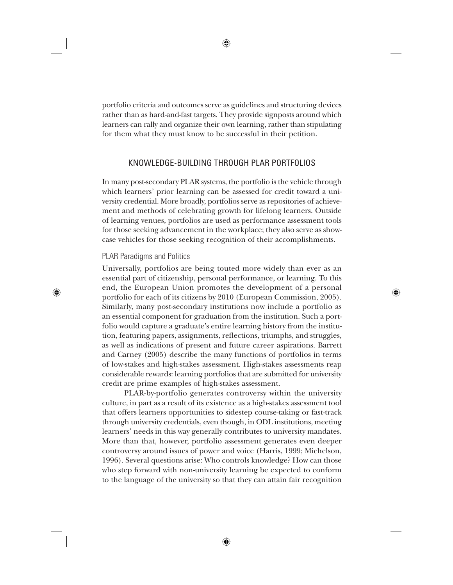portfolio criteria and outcomes serve as guidelines and structuring devices rather than as hard-and-fast targets. They provide signposts around which learners can rally and organize their own learning, rather than stipulating for them what they must know to be successful in their petition.

#### KNOWLEDGE-BUILDING THROUGH PLAR PORTFOLIOS

In many post-secondary PLAR systems, the portfolio is the vehicle through which learners' prior learning can be assessed for credit toward a university credential. More broadly, portfolios serve as repositories of achievement and methods of celebrating growth for lifelong learners. Outside of learning venues, portfolios are used as performance assessment tools for those seeking advancement in the workplace; they also serve as showcase vehicles for those seeking recognition of their accomplishments.

#### PLAR Paradigms and Politics

Universally, portfolios are being touted more widely than ever as an essential part of citizenship, personal performance, or learning. To this end, the European Union promotes the development of a personal portfolio for each of its citizens by 2010 (European Commission, 2005). Similarly, many post-secondary institutions now include a portfolio as an essential component for graduation from the institution. Such a portfolio would capture a graduate's entire learning history from the institution, featuring papers, assignments, reflections, triumphs, and struggles, as well as indications of present and future career aspirations. Barrett and Carney (2005) describe the many functions of portfolios in terms of low-stakes and high-stakes assessment. High-stakes assessments reap considerable rewards: learning portfolios that are submitted for university credit are prime examples of high-stakes assessment.

PLAR-by-portfolio generates controversy within the university culture, in part as a result of its existence as a high-stakes assessment tool that offers learners opportunities to sidestep course-taking or fast-track through university credentials, even though, in ODL institutions, meeting learners' needs in this way generally contributes to university mandates. More than that, however, portfolio assessment generates even deeper controversy around issues of power and voice (Harris, 1999; Michelson, 1996). Several questions arise: Who controls knowledge? How can those who step forward with non-university learning be expected to conform to the language of the university so that they can attain fair recognition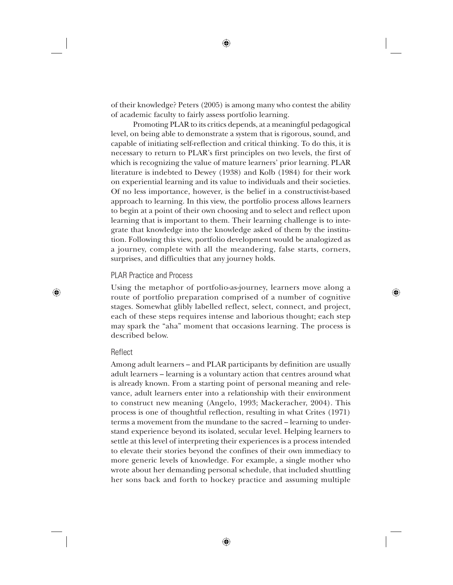of their knowledge? Peters (2005) is among many who contest the ability of academic faculty to fairly assess portfolio learning.

Promoting PLAR to its critics depends, at a meaningful pedagogical level, on being able to demonstrate a system that is rigorous, sound, and capable of initiating self-reflection and critical thinking. To do this, it is necessary to return to PLAR's first principles on two levels, the first of which is recognizing the value of mature learners' prior learning. PLAR literature is indebted to Dewey (1938) and Kolb (1984) for their work on experiential learning and its value to individuals and their societies. Of no less importance, however, is the belief in a constructivist-based approach to learning. In this view, the portfolio process allows learners to begin at a point of their own choosing and to select and reflect upon learning that is important to them. Their learning challenge is to integrate that knowledge into the knowledge asked of them by the institution. Following this view, portfolio development would be analogized as a journey, complete with all the meandering, false starts, corners, surprises, and difficulties that any journey holds.

#### PLAR Practice and Process

Using the metaphor of portfolio-as-journey, learners move along a route of portfolio preparation comprised of a number of cognitive stages. Somewhat glibly labelled reflect, select, connect, and project, each of these steps requires intense and laborious thought; each step may spark the "aha" moment that occasions learning. The process is described below.

#### Reflect

Among adult learners – and PLAR participants by definition are usually adult learners – learning is a voluntary action that centres around what is already known. From a starting point of personal meaning and relevance, adult learners enter into a relationship with their environment to construct new meaning (Angelo, 1993; Mackeracher, 2004). This process is one of thoughtful reflection, resulting in what Crites (1971) terms a movement from the mundane to the sacred – learning to understand experience beyond its isolated, secular level. Helping learners to settle at this level of interpreting their experiences is a process intended to elevate their stories beyond the confines of their own immediacy to more generic levels of knowledge. For example, a single mother who wrote about her demanding personal schedule, that included shuttling her sons back and forth to hockey practice and assuming multiple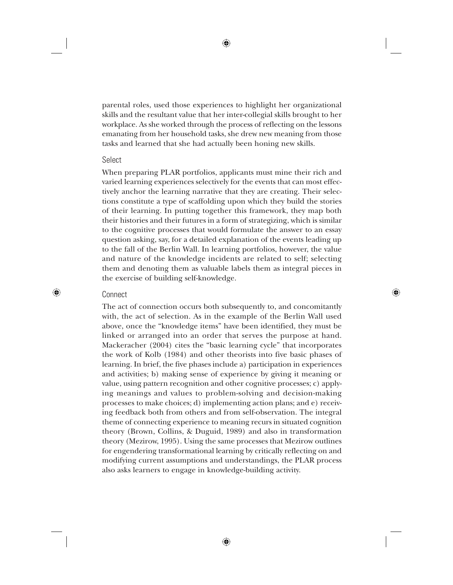parental roles, used those experiences to highlight her organizational skills and the resultant value that her inter-collegial skills brought to her workplace. As she worked through the process of reflecting on the lessons emanating from her household tasks, she drew new meaning from those tasks and learned that she had actually been honing new skills.

#### Select

When preparing PLAR portfolios, applicants must mine their rich and varied learning experiences selectively for the events that can most effectively anchor the learning narrative that they are creating. Their selections constitute a type of scaffolding upon which they build the stories of their learning. In putting together this framework, they map both their histories and their futures in a form of strategizing, which is similar to the cognitive processes that would formulate the answer to an essay question asking, say, for a detailed explanation of the events leading up to the fall of the Berlin Wall. In learning portfolios, however, the value and nature of the knowledge incidents are related to self; selecting them and denoting them as valuable labels them as integral pieces in the exercise of building self-knowledge.

#### **Connect**

The act of connection occurs both subsequently to, and concomitantly with, the act of selection. As in the example of the Berlin Wall used above, once the "knowledge items" have been identified, they must be linked or arranged into an order that serves the purpose at hand. Mackeracher (2004) cites the "basic learning cycle" that incorporates the work of Kolb (1984) and other theorists into five basic phases of learning. In brief, the five phases include a) participation in experiences and activities; b) making sense of experience by giving it meaning or value, using pattern recognition and other cognitive processes; c) applying meanings and values to problem-solving and decision-making processes to make choices; d) implementing action plans; and e) receiving feedback both from others and from self-observation. The integral theme of connecting experience to meaning recurs in situated cognition theory (Brown, Collins, & Duguid, 1989) and also in transformation theory (Mezirow, 1995). Using the same processes that Mezirow outlines for engendering transformational learning by critically reflecting on and modifying current assumptions and understandings, the PLAR process also asks learners to engage in knowledge-building activity.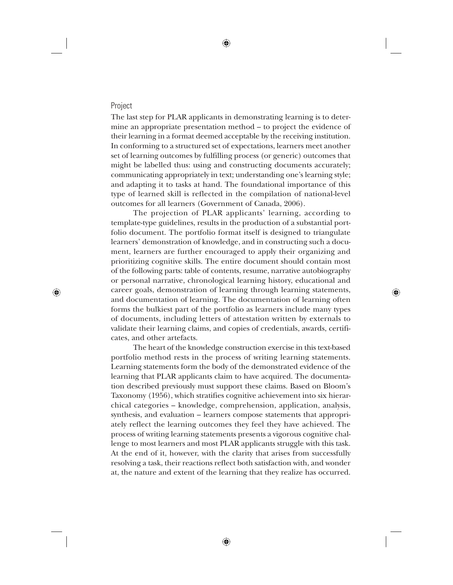#### Project

The last step for PLAR applicants in demonstrating learning is to determine an appropriate presentation method – to project the evidence of their learning in a format deemed acceptable by the receiving institution. In conforming to a structured set of expectations, learners meet another set of learning outcomes by fulfilling process (or generic) outcomes that might be labelled thus: using and constructing documents accurately; communicating appropriately in text; understanding one's learning style; and adapting it to tasks at hand. The foundational importance of this type of learned skill is reflected in the compilation of national-level outcomes for all learners (Government of Canada, 2006).

The projection of PLAR applicants' learning, according to template-type guidelines, results in the production of a substantial portfolio document. The portfolio format itself is designed to triangulate learners' demonstration of knowledge, and in constructing such a document, learners are further encouraged to apply their organizing and prioritizing cognitive skills. The entire document should contain most of the following parts: table of contents, resume, narrative autobiography or personal narrative, chronological learning history, educational and career goals, demonstration of learning through learning statements, and documentation of learning. The documentation of learning often forms the bulkiest part of the portfolio as learners include many types of documents, including letters of attestation written by externals to validate their learning claims, and copies of credentials, awards, certificates, and other artefacts.

The heart of the knowledge construction exercise in this text-based portfolio method rests in the process of writing learning statements. Learning statements form the body of the demonstrated evidence of the learning that PLAR applicants claim to have acquired. The documentation described previously must support these claims. Based on Bloom's Taxonomy (1956), which stratifies cognitive achievement into six hierarchical categories – knowledge, comprehension, application, analysis, synthesis, and evaluation – learners compose statements that appropriately reflect the learning outcomes they feel they have achieved. The process of writing learning statements presents a vigorous cognitive challenge to most learners and most PLAR applicants struggle with this task. At the end of it, however, with the clarity that arises from successfully resolving a task, their reactions reflect both satisfaction with, and wonder at, the nature and extent of the learning that they realize has occurred.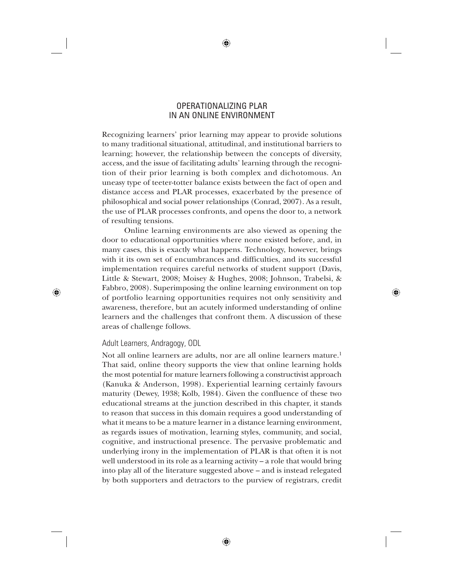# OPERATIONALIZING PLAR IN AN ONLINE ENVIRONMENT

Recognizing learners' prior learning may appear to provide solutions to many traditional situational, attitudinal, and institutional barriers to learning; however, the relationship between the concepts of diversity, access, and the issue of facilitating adults' learning through the recognition of their prior learning is both complex and dichotomous. An uneasy type of teeter-totter balance exists between the fact of open and distance access and PLAR processes, exacerbated by the presence of philosophical and social power relationships (Conrad, 2007). As a result, the use of PLAR processes confronts, and opens the door to, a network of resulting tensions.

Online learning environments are also viewed as opening the door to educational opportunities where none existed before, and, in many cases, this is exactly what happens. Technology, however, brings with it its own set of encumbrances and difficulties, and its successful implementation requires careful networks of student support (Davis, Little & Stewart, 2008; Moisey & Hughes, 2008; Johnson, Trabelsi, & Fabbro, 2008). Superimposing the online learning environment on top of portfolio learning opportunities requires not only sensitivity and awareness, therefore, but an acutely informed understanding of online learners and the challenges that confront them. A discussion of these areas of challenge follows.

#### Adult Learners, Andragogy, ODL

Not all online learners are adults, nor are all online learners mature.<sup>1</sup> That said, online theory supports the view that online learning holds the most potential for mature learners following a constructivist approach (Kanuka & Anderson, 1998). Experiential learning certainly favours maturity (Dewey, 1938; Kolb, 1984). Given the confluence of these two educational streams at the junction described in this chapter, it stands to reason that success in this domain requires a good understanding of what it means to be a mature learner in a distance learning environment, as regards issues of motivation, learning styles, community, and social, cognitive, and instructional presence. The pervasive problematic and underlying irony in the implementation of PLAR is that often it is not well understood in its role as a learning activity – a role that would bring into play all of the literature suggested above – and is instead relegated by both supporters and detractors to the purview of registrars, credit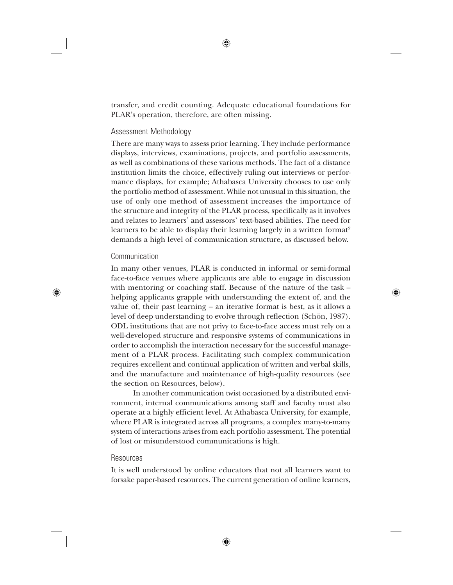transfer, and credit counting. Adequate educational foundations for PLAR's operation, therefore, are often missing.

#### Assessment Methodology

There are many ways to assess prior learning. They include performance displays, interviews, examinations, projects, and portfolio assessments, as well as combinations of these various methods. The fact of a distance institution limits the choice, effectively ruling out interviews or performance displays, for example; Athabasca University chooses to use only the portfolio method of assessment. While not unusual in this situation, the use of only one method of assessment increases the importance of the structure and integrity of the PLAR process, specifically as it involves and relates to learners' and assessors' text-based abilities. The need for learners to be able to display their learning largely in a written format<sup>2</sup> demands a high level of communication structure, as discussed below.

### Communication

In many other venues, PLAR is conducted in informal or semi-formal face-to-face venues where applicants are able to engage in discussion with mentoring or coaching staff. Because of the nature of the task – helping applicants grapple with understanding the extent of, and the value of, their past learning – an iterative format is best, as it allows a level of deep understanding to evolve through reflection (Schön, 1987). ODL institutions that are not privy to face-to-face access must rely on a well-developed structure and responsive systems of communications in order to accomplish the interaction necessary for the successful management of a PLAR process. Facilitating such complex communication requires excellent and continual application of written and verbal skills, and the manufacture and maintenance of high-quality resources (see the section on Resources, below).

In another communication twist occasioned by a distributed environment, internal communications among staff and faculty must also operate at a highly efficient level. At Athabasca University, for example, where PLAR is integrated across all programs, a complex many-to-many system of interactions arises from each portfolio assessment. The potential of lost or misunderstood communications is high.

#### Resources

It is well understood by online educators that not all learners want to forsake paper-based resources. The current generation of online learners,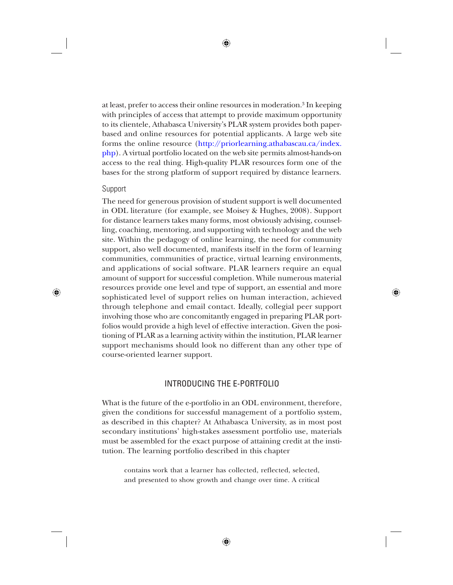at least, prefer to access their online resources in moderation.3 In keeping with principles of access that attempt to provide maximum opportunity to its clientele, Athabasca University's PLAR system provides both paperbased and online resources for potential applicants. A large web site forms the online resource (http://priorlearning.athabascau.ca/index. php). A virtual portfolio located on the web site permits almost-hands-on access to the real thing. High-quality PLAR resources form one of the bases for the strong platform of support required by distance learners.

#### Support

The need for generous provision of student support is well documented in ODL literature (for example, see Moisey & Hughes, 2008). Support for distance learners takes many forms, most obviously advising, counselling, coaching, mentoring, and supporting with technology and the web site. Within the pedagogy of online learning, the need for community support, also well documented, manifests itself in the form of learning communities, communities of practice, virtual learning environments, and applications of social software. PLAR learners require an equal amount of support for successful completion. While numerous material resources provide one level and type of support, an essential and more sophisticated level of support relies on human interaction, achieved through telephone and email contact. Ideally, collegial peer support involving those who are concomitantly engaged in preparing PLAR portfolios would provide a high level of effective interaction. Given the positioning of PLAR as a learning activity within the institution, PLAR learner support mechanisms should look no different than any other type of course-oriented learner support.

#### INTRODUCING THE E-PORTFOLIO

What is the future of the e-portfolio in an ODL environment, therefore, given the conditions for successful management of a portfolio system, as described in this chapter? At Athabasca University, as in most post secondary institutions' high-stakes assessment portfolio use, materials must be assembled for the exact purpose of attaining credit at the institution. The learning portfolio described in this chapter

contains work that a learner has collected, reflected, selected, and presented to show growth and change over time. A critical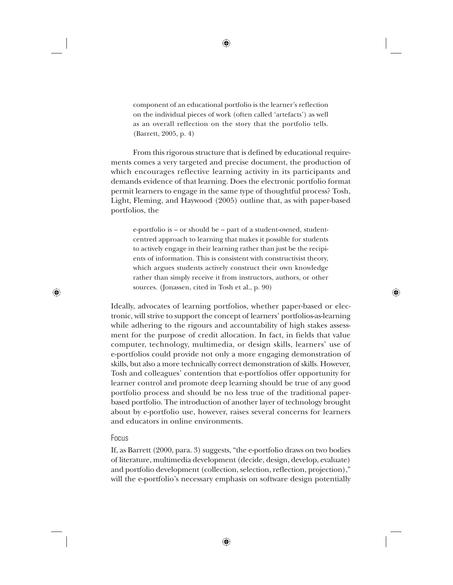component of an educational portfolio is the learner's reflection on the individual pieces of work (often called 'artefacts') as well as an overall reflection on the story that the portfolio tells. (Barrett, 2005, p. 4)

From this rigorous structure that is defined by educational requirements comes a very targeted and precise document, the production of which encourages reflective learning activity in its participants and demands evidence of that learning. Does the electronic portfolio format permit learners to engage in the same type of thoughtful process? Tosh, Light, Fleming, and Haywood (2005) outline that, as with paper-based portfolios, the

e-portfolio is – or should be – part of a student-owned, studentcentred approach to learning that makes it possible for students to actively engage in their learning rather than just be the recipients of information. This is consistent with constructivist theory, which argues students actively construct their own knowledge rather than simply receive it from instructors, authors, or other sources. (Jonassen, cited in Tosh et al., p. 90)

Ideally, advocates of learning portfolios, whether paper-based or electronic, will strive to support the concept of learners' portfolios-as-learning while adhering to the rigours and accountability of high stakes assessment for the purpose of credit allocation. In fact, in fields that value computer, technology, multimedia, or design skills, learners' use of e-portfolios could provide not only a more engaging demonstration of skills, but also a more technically correct demonstration of skills. However, Tosh and colleagues' contention that e-portfolios offer opportunity for learner control and promote deep learning should be true of any good portfolio process and should be no less true of the traditional paperbased portfolio. The introduction of another layer of technology brought about by e-portfolio use, however, raises several concerns for learners and educators in online environments.

Focus

If, as Barrett (2000, para. 3) suggests, "the e-portfolio draws on two bodies of literature, multimedia development (decide, design, develop, evaluate) and portfolio development (collection, selection, reflection, projection)," will the e-portfolio's necessary emphasis on software design potentially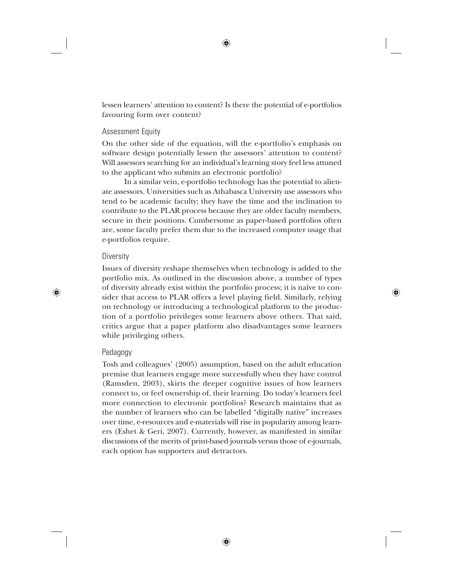lessen learners' attention to content? Is there the potential of e-portfolios favouring form over content?

### Assessment Equity

On the other side of the equation, will the e-portfolio's emphasis on software design potentially lessen the assessors' attention to content? Will assessors searching for an individual's learning story feel less attuned to the applicant who submits an electronic portfolio?

In a similar vein, e-portfolio technology has the potential to alienate assessors. Universities such as Athabasca University use assessors who tend to be academic faculty; they have the time and the inclination to contribute to the PLAR process because they are older faculty members, secure in their positions. Cumbersome as paper-based portfolios often are, some faculty prefer them due to the increased computer usage that e-portfolios require.

# **Diversity**

Issues of diversity reshape themselves when technology is added to the portfolio mix. As outlined in the discussion above, a number of types of diversity already exist within the portfolio process; it is naïve to consider that access to PLAR offers a level playing field. Similarly, relying on technology or introducing a technological platform to the production of a portfolio privileges some learners above others. That said, critics argue that a paper platform also disadvantages some learners while privileging others.

# Pedagogy

Tosh and colleagues' (2005) assumption, based on the adult education premise that learners engage more successfully when they have control (Ramsden, 2003), skirts the deeper cognitive issues of how learners connect to, or feel ownership of, their learning. Do today's learners feel more connection to electronic portfolios? Research maintains that as the number of learners who can be labelled "digitally native" increases over time, e-resources and e-materials will rise in popularity among learners (Eshet & Geri, 2007). Currently, however, as manifested in similar discussions of the merits of print-based journals versus those of e-journals, each option has supporters and detractors.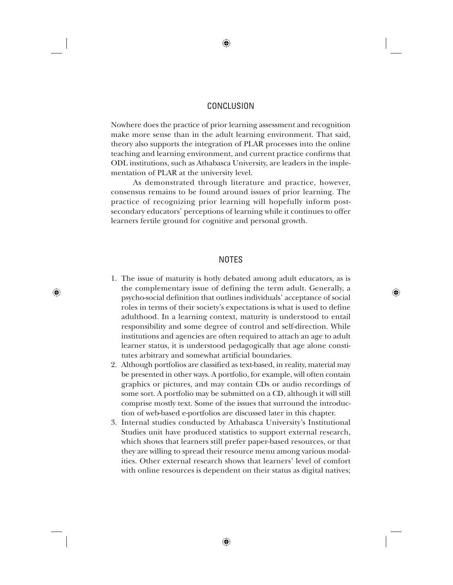#### **CONCLUSION**

Nowhere does the practice of prior learning assessment and recognition make more sense than in the adult learning environment. That said, theory also supports the integration of PLAR processes into the online teaching and learning environment, and current practice confirms that ODL institutions, such as Athabasca University, are leaders in the implementation of PLAR at the university level.

As demonstrated through literature and practice, however, consensus remains to be found around issues of prior learning. The practice of recognizing prior learning will hopefully inform postsecondary educators' perceptions of learning while it continues to offer learners fertile ground for cognitive and personal growth.

#### NOTES

- 1. The issue of maturity is hotly debated among adult educators, as is the complementary issue of defining the term adult. Generally, a psycho-social definition that outlines individuals' acceptance of social roles in terms of their society's expectations is what is used to define adulthood. In a learning context, maturity is understood to entail responsibility and some degree of control and self-direction. While institutions and agencies are often required to attach an age to adult learner status, it is understood pedagogically that age alone constitutes arbitrary and somewhat artificial boundaries.
- 2. Although portfolios are classified as text-based, in reality, material may be presented in other ways. A portfolio, for example, will often contain graphics or pictures, and may contain CDs or audio recordings of some sort. A portfolio may be submitted on a CD, although it will still comprise mostly text. Some of the issues that surround the introduction of web-based e-portfolios are discussed later in this chapter.
- 3. Internal studies conducted by Athabasca University's Institutional Studies unit have produced statistics to support external research, which shows that learners still prefer paper-based resources, or that they are willing to spread their resource menu among various modalities. Other external research shows that learners' level of comfort with online resources is dependent on their status as digital natives;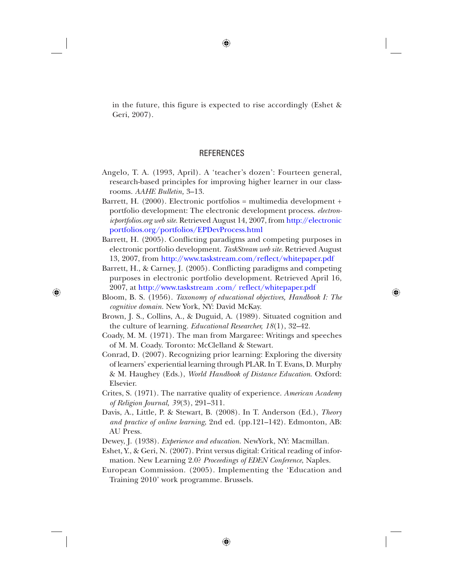in the future, this figure is expected to rise accordingly (Eshet & Geri, 2007).

#### **REFERENCES**

- Angelo, T. A. (1993, April). A 'teacher's dozen': Fourteen general, research-based principles for improving higher learner in our classrooms. *AAHE Bulletin,* 3–13.
- Barrett, H. (2000). Electronic portfolios = multimedia development + portfolio development: The electronic development process. *electronicportfolios.org web site.* Retrieved August 14, 2007, from http://electronic portfolios.org/portfolios/EPDevProcess.html
- Barrett, H. (2005). Conflicting paradigms and competing purposes in electronic portfolio development. *TaskStream web site.* Retrieved August 13, 2007, from http://www.taskstream.com/reflect/whitepaper.pdf
- Barrett, H., & Carney, J. (2005). Conflicting paradigms and competing purposes in electronic portfolio development. Retrieved April 16, 2007, at http://www.taskstream .com/ reflect/whitepaper.pdf
- Bloom, B. S. (1956). *Taxonomy of educational objectives, Handbook I: The cognitive domain.* New York, NY: David McKay.
- Brown, J. S., Collins, A., & Duguid, A. (1989). Situated cognition and the culture of learning. *Educational Researcher, 18*(1), 32–42.
- Coady, M. M. (1971). The man from Margaree: Writings and speeches of M. M. Coady. Toronto: McClelland & Stewart.
- Conrad, D. (2007). Recognizing prior learning: Exploring the diversity of learners' experiential learning through PLAR. In T. Evans, D. Murphy & M. Haughey (Eds.), *World Handbook of Distance Education*. Oxford: Elsevier.
- Crites, S. (1971). The narrative quality of experience. *American Academy of Religion Journal, 39*(3), 291–311.
- Davis, A., Little, P. & Stewart, B. (2008). In T. Anderson (Ed.), *Theory and practice of online learning*, 2nd ed. (pp.121–142). Edmonton, AB: AU Press.
- Dewey, J. (1938). *Experience and education.* NewYork, NY: Macmillan.
- Eshet, Y., & Geri, N. (2007). Print versus digital: Critical reading of information. New Learning 2.0? *Proceedings of EDEN Conference*, Naples.
- European Commission. (2005). Implementing the 'Education and Training 2010' work programme. Brussels.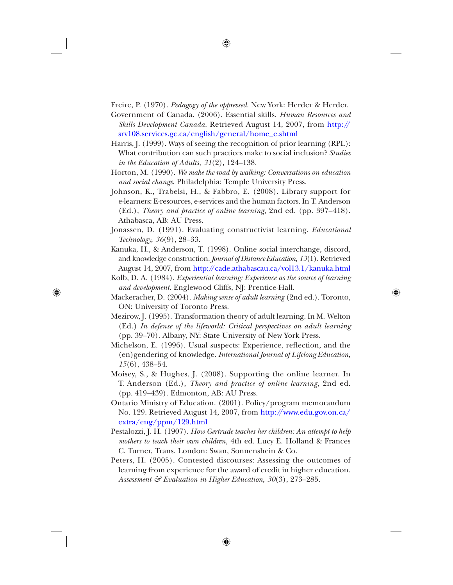Freire, P. (1970). *Pedagogy of the oppressed*. New York: Herder & Herder.

- Government of Canada. (2006). Essential skills. *Human Resources and Skills Development Canada.* Retrieved August 14, 2007, from http:// srv108.services.gc.ca/english/general/home\_e.shtml
- Harris, J. (1999). Ways of seeing the recognition of prior learning (RPL): What contribution can such practices make to social inclusion? *Studies in the Education of Adults, 31*(2), 124–138.
- Horton, M. (1990). *We make the road by walking: Conversations on education and social change*. Philadelphia: Temple University Press.
- Johnson, K., Trabelsi, H., & Fabbro, E. (2008). Library support for e-learners: E-resources, e-services and the human factors. In T. Anderson (Ed.), *Theory and practice of online learning*, 2nd ed. (pp. 397–418). Athabasca, AB: AU Press.
- Jonassen, D. (1991). Evaluating constructivist learning. *Educational Technology, 36*(9), 28–33.
- Kanuka, H., & Anderson, T. (1998). Online social interchange, discord, and knowledge construction. *Journal of Distance Education, 13*(1). Retrieved August 14, 2007, from http://cade.athabascau.ca/vol13.1/kanuka.html
- Kolb, D. A. (1984). *Experiential learning: Experience as the source of learning and development.* Englewood Cliffs, NJ: Prentice-Hall.
- Mackeracher, D. (2004). *Making sense of adult learning* (2nd ed.). Toronto, ON: University of Toronto Press.
- Mezirow, J. (1995). Transformation theory of adult learning. In M. Welton (Ed.) *In defense of the lifeworld: Critical perspectives on adult learning* (pp. 39–70). Albany, NY: State University of New York Press.
- Michelson, E. (1996). Usual suspects: Experience, reflection, and the (en)gendering of knowledge. *International Journal of Lifelong Education, 15*(6), 438–54.
- Moisey, S., & Hughes, J. (2008). Supporting the online learner. In T. Anderson (Ed.), *Theory and practice of online learning*, 2nd ed. (pp. 419–439). Edmonton, AB: AU Press.
- Ontario Ministry of Education. (2001). Policy/program memorandum No. 129. Retrieved August 14, 2007, from http://www.edu.gov.on.ca/ extra/eng/ppm/129.html
- Pestalozzi, J. H. (1907). *How Gertrude teaches her children: An attempt to help mothers to teach their own children,* 4th ed. Lucy E. Holland & Frances C. Turner, Trans. London: Swan, Sonnenshein & Co.
- Peters, H. (2005). Contested discourses: Assessing the outcomes of learning from experience for the award of credit in higher education. *Assessment & Evaluation in Higher Education, 30*(3), 273–285.